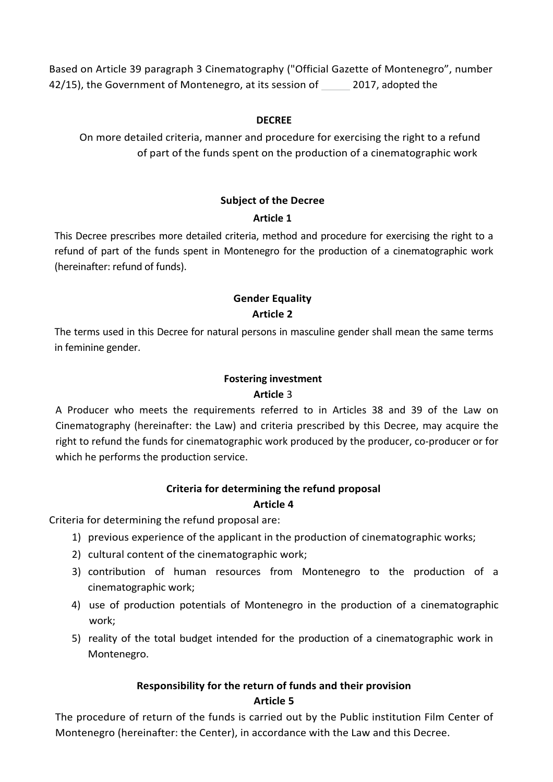Based on Article 39 paragraph 3 Cinematography ("Official Gazette of Montenegro", number 42/15), the Government of Montenegro, at its session of 2017, adopted the

#### **DECREE**

On more detailed criteria, manner and procedure for exercising the right to a refund of part of the funds spent on the production of a cinematographic work

#### **Subject of the Decree**

#### **Article 1**

This Decree prescribes more detailed criteria, method and procedure for exercising the right to a refund of part of the funds spent in Montenegro for the production of a cinematographic work (hereinafter: refund of funds).

# **Gender Equality Article 2**

The terms used in this Decree for natural persons in masculine gender shall mean the same terms in feminine gender.

#### **Fostering investment**

#### **Article** 3

A Producer who meets the requirements referred to in Articles 38 and 39 of the Law on Cinematography (hereinafter: the Law) and criteria prescribed by this Decree, may acquire the right to refund the funds for cinematographic work produced by the producer, co-producer or for which he performs the production service.

# **Criteria for determining the refund proposal**

#### **Article 4**

Criteria for determining the refund proposal are:

- 1) previous experience of the applicant in the production of cinematographic works;
- 2) cultural content of the cinematographic work;
- 3) contribution of human resources from Montenegro to the production of a cinematographic work;
- 4) use of production potentials of Montenegro in the production of a cinematographic work;
- 5) reality of the total budget intended for the production of a cinematographic work in Montenegro.

# **Responsibility for the return of funds and their provision Article 5**

The procedure of return of the funds is carried out by the Public institution Film Center of Montenegro (hereinafter: the Center), in accordance with the Law and this Decree.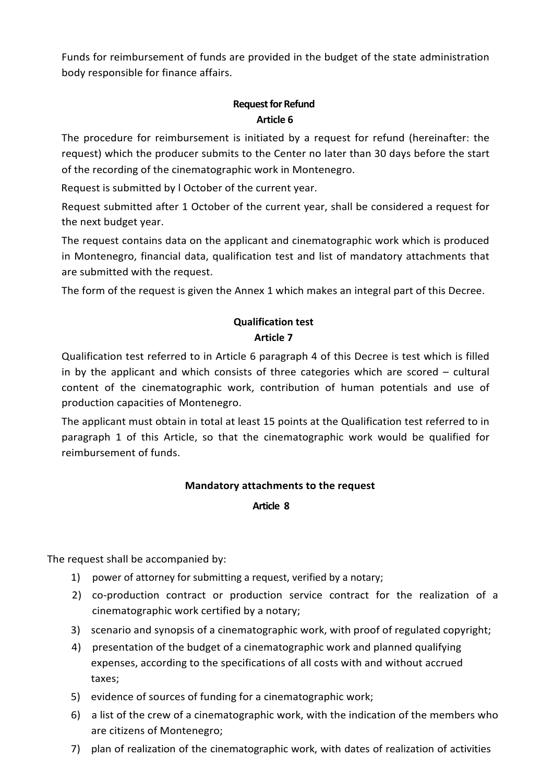Funds for reimbursement of funds are provided in the budget of the state administration body responsible for finance affairs.

#### **Request for Refund Article 6**

The procedure for reimbursement is initiated by a request for refund (hereinafter: the request) which the producer submits to the Center no later than 30 days before the start of the recording of the cinematographic work in Montenegro.

Request is submitted by l October of the current year.

Request submitted after 1 October of the current year, shall be considered a request for the next budget year.

The request contains data on the applicant and cinematographic work which is produced in Montenegro, financial data, qualification test and list of mandatory attachments that are submitted with the request.

The form of the request is given the Annex 1 which makes an integral part of this Decree.

# **Qualification test Article 7**

Qualification test referred to in Article 6 paragraph 4 of this Decree is test which is filled in by the applicant and which consists of three categories which are scored – cultural content of the cinematographic work, contribution of human potentials and use of production capacities of Montenegro.

The applicant must obtain in total at least 15 points at the Qualification test referred to in paragraph 1 of this Article, so that the cinematographic work would be qualified for reimbursement of funds.

# **Mandatory attachments to the request**

**Article 8**

The request shall be accompanied by:

- 1) power of attorney for submitting a request, verified by a notary;
- 2) co-production contract or production service contract for the realization of a cinematographic work certified by a notary;
- 3) scenario and synopsis of a cinematographic work, with proof of regulated copyright;
- 4) presentation of the budget of a cinematographic work and planned qualifying expenses, according to the specifications of all costs with and without accrued taxes;
- 5) evidence of sources of funding for a cinematographic work;
- 6) a list of the crew of a cinematographic work, with the indication of the members who are citizens of Montenegro;
- 7) plan of realization of the cinematographic work, with dates of realization of activities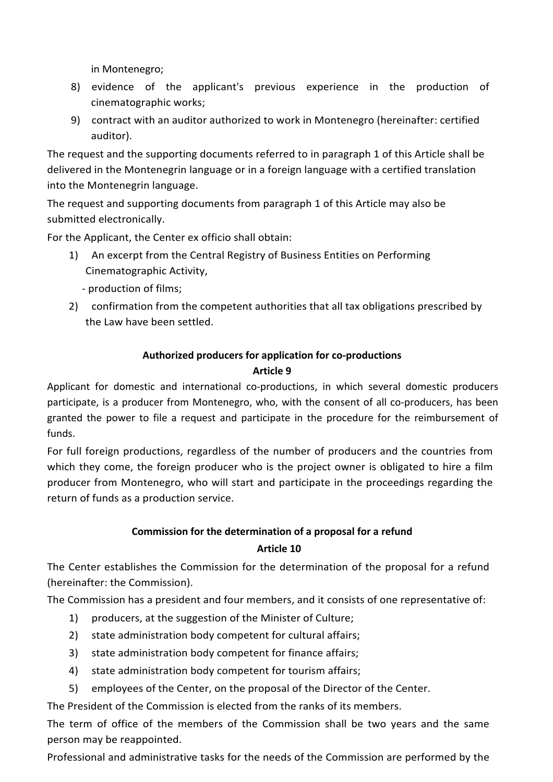in Montenegro;

- 8) evidence of the applicant's previous experience in the production of cinematographic works;
- 9) contract with an auditor authorized to work in Montenegro (hereinafter: certified auditor).

The request and the supporting documents referred to in paragraph 1 of this Article shall be delivered in the Montenegrin language or in a foreign language with a certified translation into the Montenegrin language.

The request and supporting documents from paragraph 1 of this Article may also be submitted electronically.

For the Applicant, the Center ex officio shall obtain:

- 1) An excerpt from the Central Registry of Business Entities on Performing Cinematographic Activity,
	- production of films;
- 2) confirmation from the competent authorities that all tax obligations prescribed by the Law have been settled.

# **Authorized producers for application for co-productions**

# **Article 9**

Applicant for domestic and international co-productions, in which several domestic producers participate, is a producer from Montenegro, who, with the consent of all co-producers, has been granted the power to file a request and participate in the procedure for the reimbursement of funds.

For full foreign productions, regardless of the number of producers and the countries from which they come, the foreign producer who is the project owner is obligated to hire a film producer from Montenegro, who will start and participate in the proceedings regarding the return of funds as a production service.

# **Commission for the determination of a proposal for a refund**

# **Article 10**

The Center establishes the Commission for the determination of the proposal for a refund (hereinafter: the Commission).

The Commission has a president and four members, and it consists of one representative of:

- 1) producers, at the suggestion of the Minister of Culture;
- 2) state administration body competent for cultural affairs;
- 3) state administration body competent for finance affairs;
- 4) state administration body competent for tourism affairs;
- 5) employees of the Center, on the proposal of the Director of the Center.

The President of the Commission is elected from the ranks of its members.

The term of office of the members of the Commission shall be two years and the same person may be reappointed.

Professional and administrative tasks for the needs of the Commission are performed by the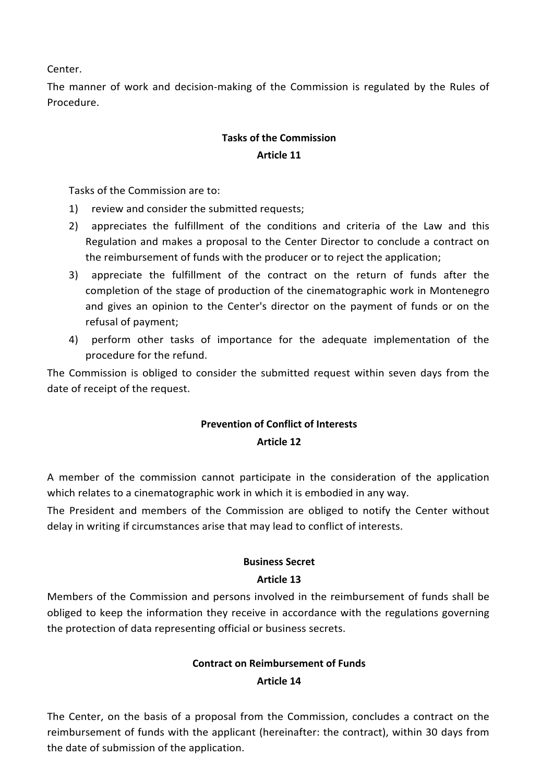Center.

The manner of work and decision-making of the Commission is regulated by the Rules of Procedure.

# **Tasks of the Commission Article 11**

Tasks of the Commission are to:

- 1) review and consider the submitted requests;
- 2) appreciates the fulfillment of the conditions and criteria of the Law and this Regulation and makes a proposal to the Center Director to conclude a contract on the reimbursement of funds with the producer or to reject the application;
- 3) appreciate the fulfillment of the contract on the return of funds after the completion of the stage of production of the cinematographic work in Montenegro and gives an opinion to the Center's director on the payment of funds or on the refusal of payment;
- 4) perform other tasks of importance for the adequate implementation of the procedure for the refund.

The Commission is obliged to consider the submitted request within seven days from the date of receipt of the request.

# **Prevention of Conflict of Interests Article 12**

A member of the commission cannot participate in the consideration of the application which relates to a cinematographic work in which it is embodied in any way.

The President and members of the Commission are obliged to notify the Center without delay in writing if circumstances arise that may lead to conflict of interests.

# **Business Secret**

# **Article 13**

Members of the Commission and persons involved in the reimbursement of funds shall be obliged to keep the information they receive in accordance with the regulations governing the protection of data representing official or business secrets.

# **Contract on Reimbursement of Funds**

#### **Article 14**

The Center, on the basis of a proposal from the Commission, concludes a contract on the reimbursement of funds with the applicant (hereinafter: the contract), within 30 days from the date of submission of the application.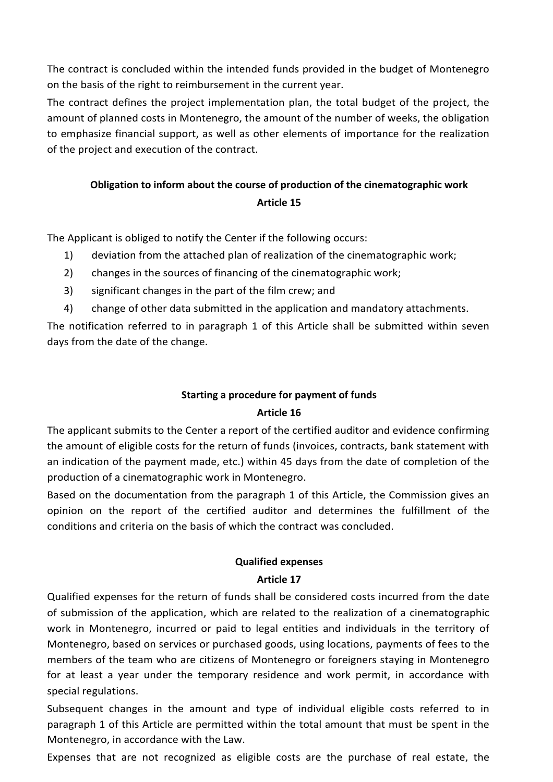The contract is concluded within the intended funds provided in the budget of Montenegro on the basis of the right to reimbursement in the current year.

The contract defines the project implementation plan, the total budget of the project, the amount of planned costs in Montenegro, the amount of the number of weeks, the obligation to emphasize financial support, as well as other elements of importance for the realization of the project and execution of the contract.

# **Obligation to inform about the course of production of the cinematographic work Article 15**

The Applicant is obliged to notify the Center if the following occurs:

- 1) deviation from the attached plan of realization of the cinematographic work;
- 2) changes in the sources of financing of the cinematographic work;
- 3) significant changes in the part of the film crew; and
- 4) change of other data submitted in the application and mandatory attachments.

The notification referred to in paragraph 1 of this Article shall be submitted within seven days from the date of the change.

# **Starting a procedure for payment of funds**

# **Article 16**

The applicant submits to the Center a report of the certified auditor and evidence confirming the amount of eligible costs for the return of funds (invoices, contracts, bank statement with an indication of the payment made, etc.) within 45 days from the date of completion of the production of a cinematographic work in Montenegro.

Based on the documentation from the paragraph 1 of this Article, the Commission gives an opinion on the report of the certified auditor and determines the fulfillment of the conditions and criteria on the basis of which the contract was concluded.

# **Qualified expenses**

# **Article 17**

Qualified expenses for the return of funds shall be considered costs incurred from the date of submission of the application, which are related to the realization of a cinematographic work in Montenegro, incurred or paid to legal entities and individuals in the territory of Montenegro, based on services or purchased goods, using locations, payments of fees to the members of the team who are citizens of Montenegro or foreigners staying in Montenegro for at least a year under the temporary residence and work permit, in accordance with special regulations.

Subsequent changes in the amount and type of individual eligible costs referred to in paragraph 1 of this Article are permitted within the total amount that must be spent in the Montenegro, in accordance with the Law.

Expenses that are not recognized as eligible costs are the purchase of real estate, the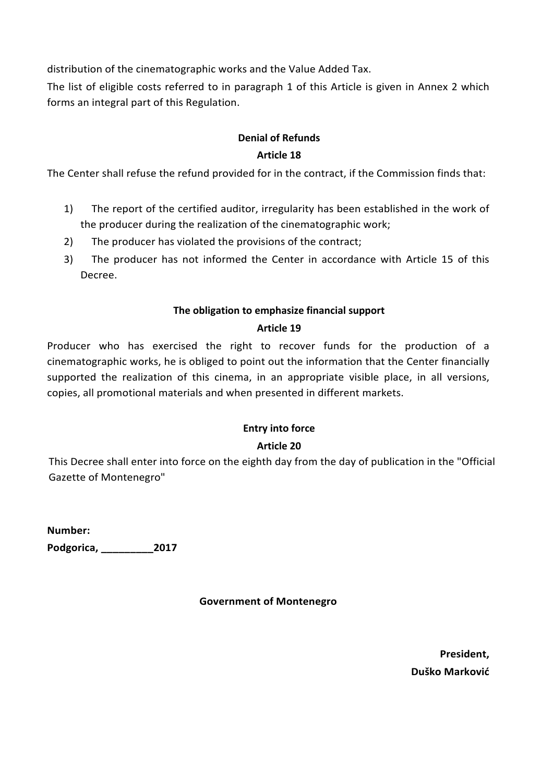distribution of the cinematographic works and the Value Added Tax.

The list of eligible costs referred to in paragraph 1 of this Article is given in Annex 2 which forms an integral part of this Regulation.

# **Denial of Refunds**

#### **Article 18**

The Center shall refuse the refund provided for in the contract, if the Commission finds that:

- 1) The report of the certified auditor, irregularity has been established in the work of the producer during the realization of the cinematographic work;
- 2) The producer has violated the provisions of the contract;
- 3) The producer has not informed the Center in accordance with Article 15 of this Decree.

#### **The obligation to emphasize financial support**

# **Article 19**

Producer who has exercised the right to recover funds for the production of a cinematographic works, he is obliged to point out the information that the Center financially supported the realization of this cinema, in an appropriate visible place, in all versions, copies, all promotional materials and when presented in different markets.

# **Entry into force**

# **Article 20**

This Decree shall enter into force on the eighth day from the day of publication in the "Official Gazette of Montenegro"

**Number: Podgorica, \_\_\_\_\_\_\_\_\_2017** 

**Government of Montenegro**

**President, Duško Marković**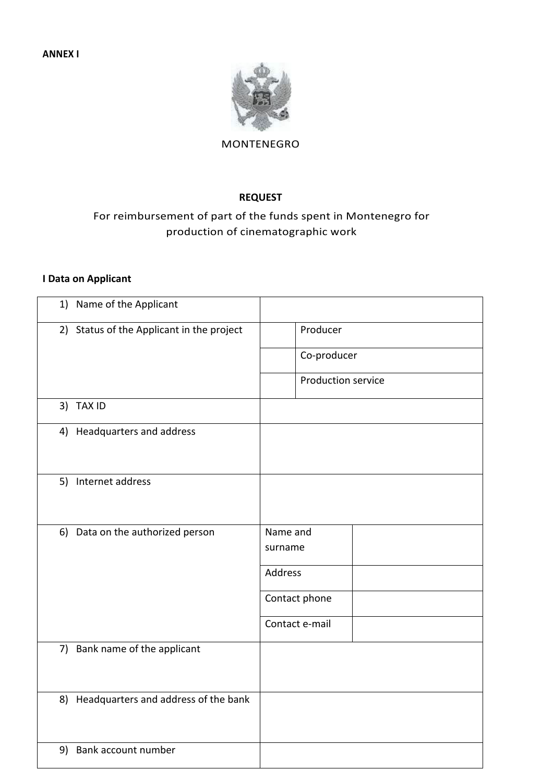

#### MONTENEGRO

#### **REQUEST**

# For reimbursement of part of the funds spent in Montenegro for production of cinematographic work

#### **I Data on Applicant**

| 1) Name of the Applicant                  |                     |
|-------------------------------------------|---------------------|
| 2) Status of the Applicant in the project | Producer            |
|                                           | Co-producer         |
|                                           | Production service  |
| 3) TAX ID                                 |                     |
| 4) Headquarters and address               |                     |
| 5) Internet address                       |                     |
| 6) Data on the authorized person          | Name and<br>surname |
|                                           | Address             |
|                                           | Contact phone       |
|                                           | Contact e-mail      |
| 7) Bank name of the applicant             |                     |
| 8) Headquarters and address of the bank   |                     |
| 9) Bank account number                    |                     |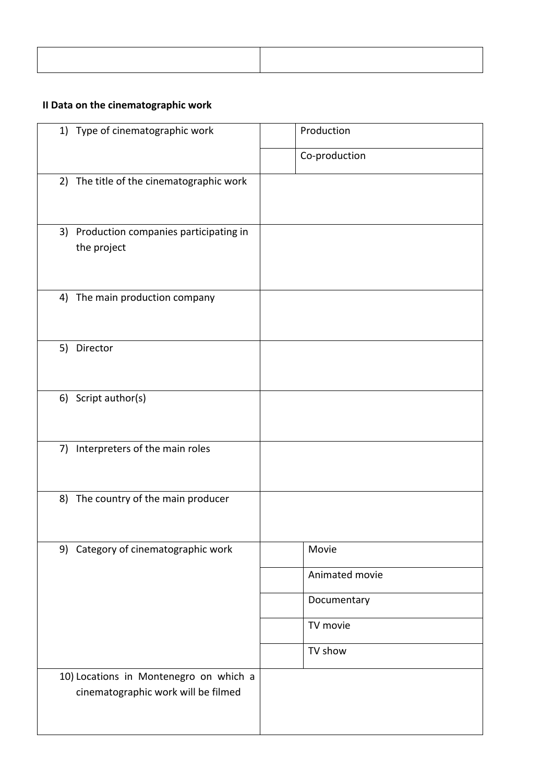# **II Data on the cinematographic work**

| 1) Type of cinematographic work                                               | Production     |
|-------------------------------------------------------------------------------|----------------|
|                                                                               | Co-production  |
| 2) The title of the cinematographic work                                      |                |
| 3) Production companies participating in<br>the project                       |                |
| The main production company<br>4)                                             |                |
| 5) Director                                                                   |                |
| 6) Script author(s)                                                           |                |
| Interpreters of the main roles<br>7)                                          |                |
| 8) The country of the main producer                                           |                |
| 9) Category of cinematographic work                                           | Movie          |
|                                                                               | Animated movie |
|                                                                               | Documentary    |
|                                                                               | TV movie       |
|                                                                               | TV show        |
| 10) Locations in Montenegro on which a<br>cinematographic work will be filmed |                |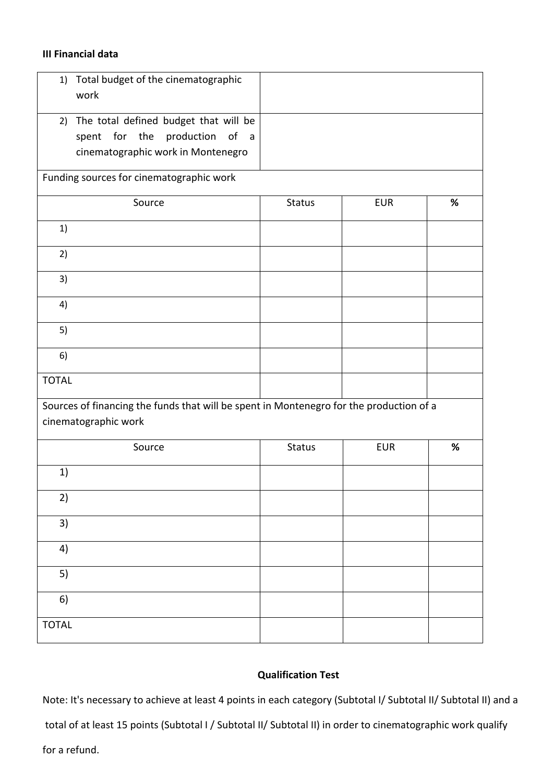#### **III Financial data**

| Total budget of the cinematographic<br>1)<br>work                                                                                     |               |            |      |
|---------------------------------------------------------------------------------------------------------------------------------------|---------------|------------|------|
| 2) The total defined budget that will be<br>production of<br>for the<br>spent<br>$\overline{a}$<br>cinematographic work in Montenegro |               |            |      |
| Funding sources for cinematographic work                                                                                              |               |            |      |
| Source                                                                                                                                | <b>Status</b> | <b>EUR</b> | $\%$ |
| 1)                                                                                                                                    |               |            |      |
| 2)                                                                                                                                    |               |            |      |
| 3)                                                                                                                                    |               |            |      |
| 4)                                                                                                                                    |               |            |      |
| 5)                                                                                                                                    |               |            |      |
| 6)                                                                                                                                    |               |            |      |
| <b>TOTAL</b>                                                                                                                          |               |            |      |
| Sources of financing the funds that will be spent in Montenegro for the production of a<br>cinematographic work                       |               |            |      |
| Source                                                                                                                                | <b>Status</b> | <b>EUR</b> | $\%$ |
| 1)                                                                                                                                    |               |            |      |
| 2)                                                                                                                                    |               |            |      |
| 3)                                                                                                                                    |               |            |      |
| 4)                                                                                                                                    |               |            |      |
| 5)                                                                                                                                    |               |            |      |
| 6)                                                                                                                                    |               |            |      |
| <b>TOTAL</b>                                                                                                                          |               |            |      |

#### **Qualification Test**

Note: It's necessary to achieve at least 4 points in each category (Subtotal I/ Subtotal II/ Subtotal II) and a

total of at least 15 points (Subtotal I / Subtotal II/ Subtotal II) in order to cinematographic work qualify

for a refund.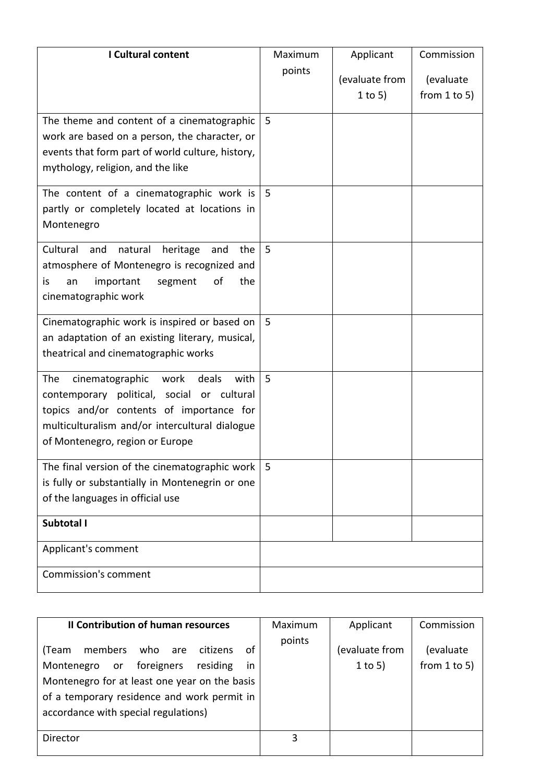| I Cultural content                                                                                                                                                                                                             | Maximum | Applicant                 | Commission                     |
|--------------------------------------------------------------------------------------------------------------------------------------------------------------------------------------------------------------------------------|---------|---------------------------|--------------------------------|
|                                                                                                                                                                                                                                | points  | (evaluate from<br>1 to 5) | (evaluate<br>from $1$ to $5$ ) |
| The theme and content of a cinematographic<br>work are based on a person, the character, or<br>events that form part of world culture, history,<br>mythology, religion, and the like                                           | 5       |                           |                                |
| The content of a cinematographic work is<br>partly or completely located at locations in<br>Montenegro                                                                                                                         | -5      |                           |                                |
| Cultural<br>natural<br>heritage<br>the<br>and<br>and<br>atmosphere of Montenegro is recognized and<br>of<br>important<br>the<br>is<br>an<br>segment<br>cinematographic work                                                    | 5       |                           |                                |
| Cinematographic work is inspired or based on<br>an adaptation of an existing literary, musical,<br>theatrical and cinematographic works                                                                                        | 5       |                           |                                |
| The<br>cinematographic<br>work<br>deals<br>with<br>contemporary political, social or cultural<br>topics and/or contents of importance for<br>multiculturalism and/or intercultural dialogue<br>of Montenegro, region or Europe | 5       |                           |                                |
| The final version of the cinematographic work<br>is fully or substantially in Montenegrin or one<br>of the languages in official use                                                                                           | 5       |                           |                                |
| Subtotal I                                                                                                                                                                                                                     |         |                           |                                |
| Applicant's comment                                                                                                                                                                                                            |         |                           |                                |
| <b>Commission's comment</b>                                                                                                                                                                                                    |         |                           |                                |

| Il Contribution of human resources                                                                                                                                                                                                     | Maximum | Applicant                   | Commission                     |
|----------------------------------------------------------------------------------------------------------------------------------------------------------------------------------------------------------------------------------------|---------|-----------------------------|--------------------------------|
| members<br>οf<br>who<br>(Team<br>citizens<br>are<br>Montenegro or foreigners<br>residing<br>in<br>Montenegro for at least one year on the basis<br>of a temporary residence and work permit in<br>accordance with special regulations) | points  | (evaluate from<br>$1$ to 5) | (evaluate<br>from $1$ to $5$ ) |
| Director                                                                                                                                                                                                                               | 3       |                             |                                |
|                                                                                                                                                                                                                                        |         |                             |                                |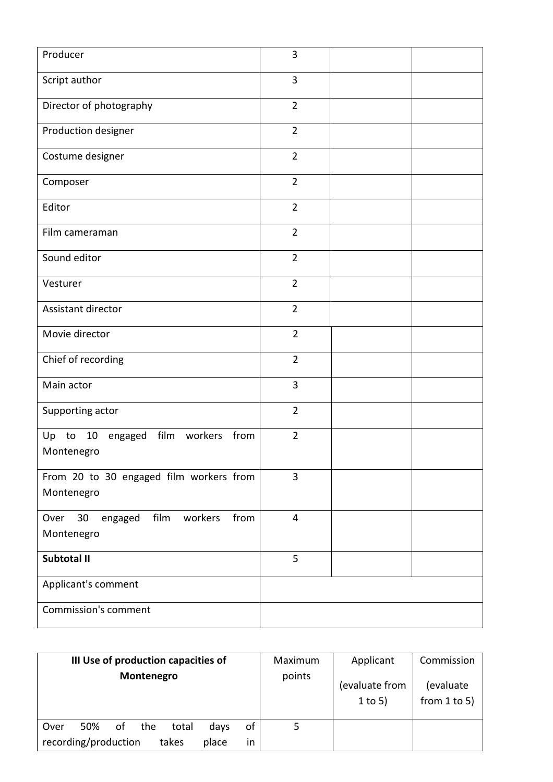| Producer                                                       | $\overline{3}$ |  |
|----------------------------------------------------------------|----------------|--|
| Script author                                                  | 3              |  |
| Director of photography                                        | $\overline{2}$ |  |
| Production designer                                            | $\overline{2}$ |  |
| Costume designer                                               | $\overline{2}$ |  |
| Composer                                                       | $\overline{2}$ |  |
| Editor                                                         | $\overline{2}$ |  |
| Film cameraman                                                 | $\overline{2}$ |  |
| Sound editor                                                   | $\overline{2}$ |  |
| Vesturer                                                       | $\overline{2}$ |  |
| Assistant director                                             | $\overline{2}$ |  |
| Movie director                                                 | $\overline{2}$ |  |
| Chief of recording                                             | $\overline{2}$ |  |
| Main actor                                                     | 3              |  |
| Supporting actor                                               | $\overline{2}$ |  |
| film workers<br>from<br>Up to 10<br>engaged<br>Montenegro      | $\overline{2}$ |  |
| From 20 to 30 engaged film workers from<br>Montenegro          | 3              |  |
| film<br>30<br>engaged<br>workers<br>from<br>Over<br>Montenegro | $\overline{4}$ |  |
| Subtotal II                                                    | 5              |  |
| Applicant's comment                                            |                |  |
| <b>Commission's comment</b>                                    |                |  |

| III Use of production capacities of<br>Montenegro | Maximum<br>points | Applicant                   | Commission                     |
|---------------------------------------------------|-------------------|-----------------------------|--------------------------------|
|                                                   |                   | (evaluate from<br>$1$ to 5) | (evaluate<br>from $1$ to $5$ ) |
| of<br>50%<br>οf<br>the<br>total<br>Over<br>days   | 5                 |                             |                                |
| recording/production<br>takes<br>place<br>in      |                   |                             |                                |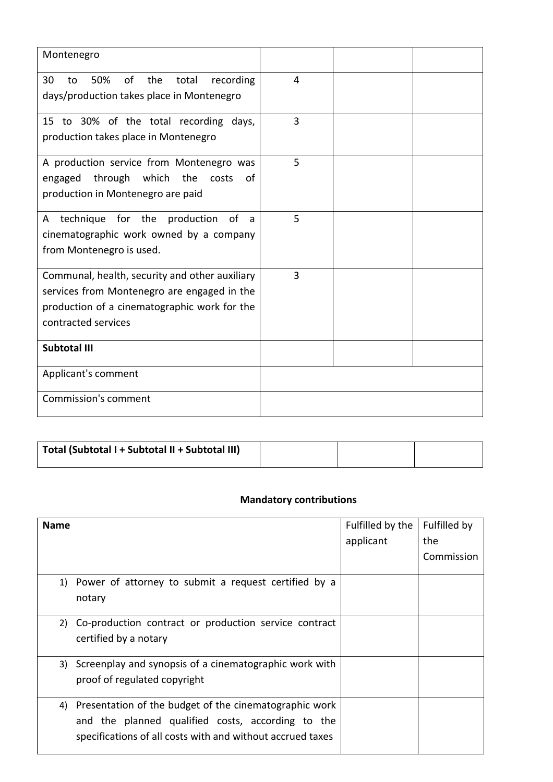| Montenegro                                                                                                                                                           |   |  |
|----------------------------------------------------------------------------------------------------------------------------------------------------------------------|---|--|
| 30<br>50%<br>of<br>the<br>total<br>recording<br>to<br>days/production takes place in Montenegro                                                                      | 4 |  |
| 15 to 30% of the total recording days,<br>production takes place in Montenegro                                                                                       | 3 |  |
| A production service from Montenegro was<br>through which the<br>costs<br>engaged<br>0f<br>production in Montenegro are paid                                         | 5 |  |
| technique for the production of<br>A<br>a<br>cinematographic work owned by a company<br>from Montenegro is used.                                                     | 5 |  |
| Communal, health, security and other auxiliary<br>services from Montenegro are engaged in the<br>production of a cinematographic work for the<br>contracted services | 3 |  |
| <b>Subtotal III</b>                                                                                                                                                  |   |  |
| Applicant's comment                                                                                                                                                  |   |  |
| <b>Commission's comment</b>                                                                                                                                          |   |  |

| Total (Subtotal I + Subtotal II + Subtotal III) |  |  |
|-------------------------------------------------|--|--|
|                                                 |  |  |

# **Mandatory contributions**

| <b>Name</b> |                                                                                                                                                                           | Fulfilled by the<br>applicant | Fulfilled by<br>the<br>Commission |
|-------------|---------------------------------------------------------------------------------------------------------------------------------------------------------------------------|-------------------------------|-----------------------------------|
| 1)          | Power of attorney to submit a request certified by a<br>notary                                                                                                            |                               |                                   |
|             | 2) Co-production contract or production service contract<br>certified by a notary                                                                                         |                               |                                   |
| 3)          | Screenplay and synopsis of a cinematographic work with<br>proof of regulated copyright                                                                                    |                               |                                   |
| 4)          | Presentation of the budget of the cinematographic work<br>and the planned qualified costs, according to the<br>specifications of all costs with and without accrued taxes |                               |                                   |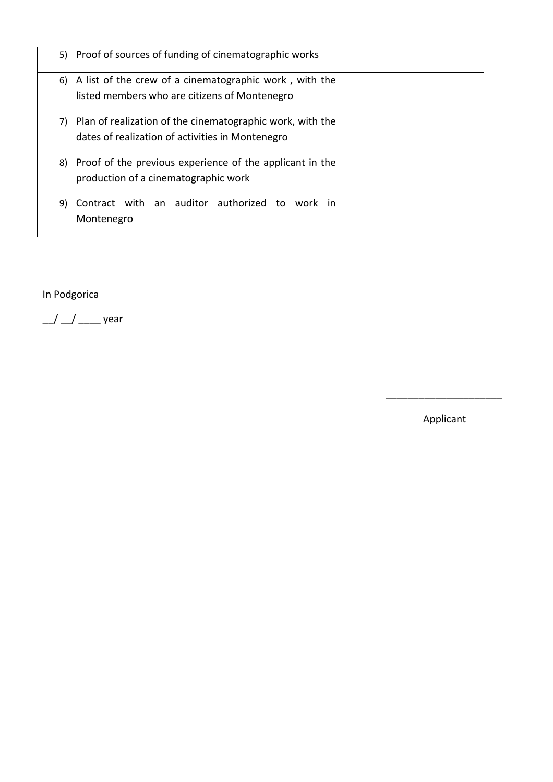|    | 5) Proof of sources of funding of cinematographic works                                                          |  |
|----|------------------------------------------------------------------------------------------------------------------|--|
|    | 6) A list of the crew of a cinematographic work, with the<br>listed members who are citizens of Montenegro       |  |
|    |                                                                                                                  |  |
|    | 7) Plan of realization of the cinematographic work, with the<br>dates of realization of activities in Montenegro |  |
|    | 8) Proof of the previous experience of the applicant in the<br>production of a cinematographic work              |  |
| 9) | Contract with an auditor authorized to work in<br>Montenegro                                                     |  |

 $\overline{\phantom{a}}$  , and the contract of the contract of the contract of the contract of the contract of the contract of the contract of the contract of the contract of the contract of the contract of the contract of the contrac

In Podgorica

 $\frac{1}{2}$   $\frac{1}{2}$  year

Applicant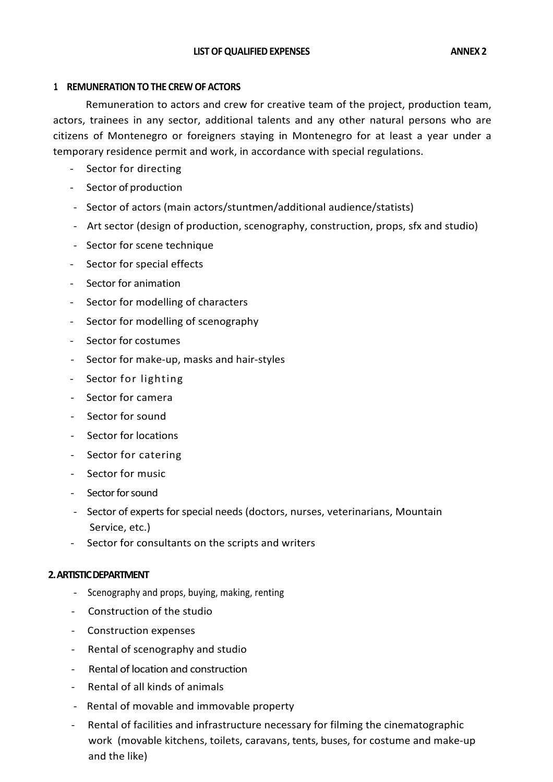#### **1. REMUNERATION TO THE CREW OF ACTORS**

Remuneration to actors and crew for creative team of the project, production team, actors, trainees in any sector, additional talents and any other natural persons who are citizens of Montenegro or foreigners staying in Montenegro for at least a year under a temporary residence permit and work, in accordance with special regulations.

- Sector for directing
- Sector of production
- Sector of actors (main actors/stuntmen/additional audience/statists)
- Art sector (design of production, scenography, construction, props, sfx and studio)
- Sector for scene technique
- Sector for special effects
- Sector for animation
- Sector for modelling of characters
- Sector for modelling of scenography
- Sector for costumes
- Sector for make-up, masks and hair-styles
- Sector for lighting
- Sector for camera
- Sector for sound
- Sector for locations
- Sector for catering
- Sector for music
- Sector for sound
- Sector of experts for special needs (doctors, nurses, veterinarians, Mountain Service, etc.)
- Sector for consultants on the scripts and writers

#### **2. ARTISTIC DEPARTMENT**

- Scenography and props, buying, making, renting
- Construction of the studio
- Construction expenses
- Rental of scenography and studio
- Rental of location and construction
- Rental of all kinds of animals
- Rental of movable and immovable property
- Rental of facilities and infrastructure necessary for filming the cinematographic work (movable kitchens, toilets, caravans, tents, buses, for costume and make-up and the like)